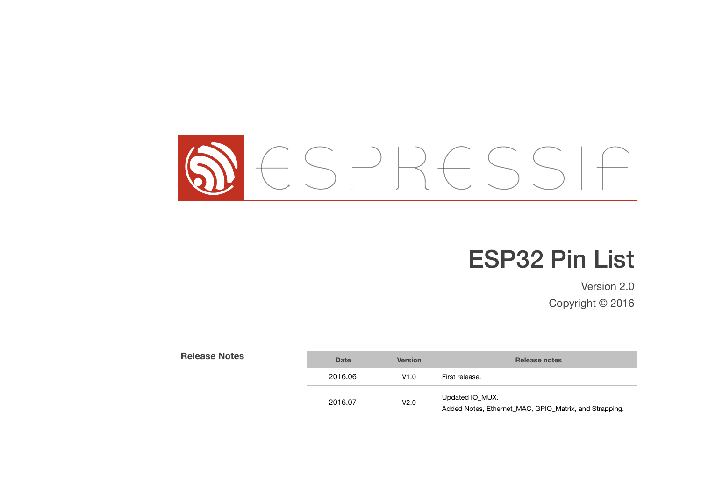

# ESP32 Pin List

Version 2.0 Copyright © 2016

| <b>Release Notes</b> | <b>Date</b> | <b>Version</b> | Release notes                                                             |
|----------------------|-------------|----------------|---------------------------------------------------------------------------|
|                      | 2016.06     | V1.0           | First release.                                                            |
|                      | 2016.07     | V2.0           | Updated IO_MUX.<br>Added Notes, Ethernet MAC, GPIO Matrix, and Strapping. |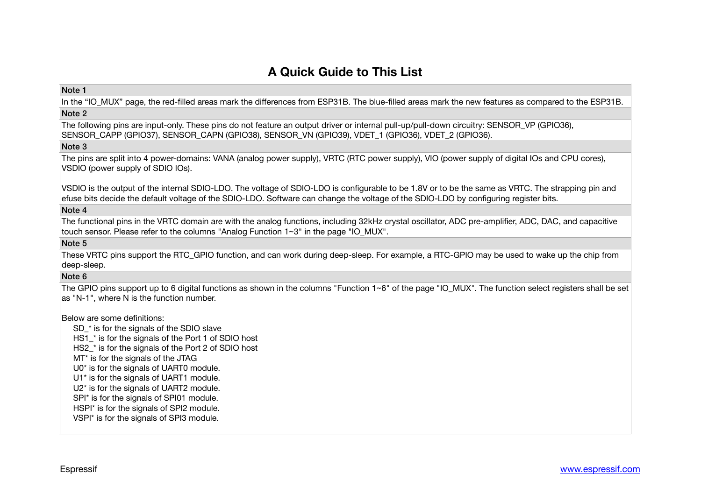# **A Quick Guide to This List**

#### Note 1

In the "IO MUX" page, the red-filled areas mark the differences from ESP31B. The blue-filled areas mark the new features as compared to the ESP31B.

# Note 2

The following pins are input-only. These pins do not feature an output driver or internal pull-up/pull-down circuitry: SENSOR\_VP (GPIO36), SENSOR\_CAPP (GPIO37), SENSOR\_CAPN (GPIO38), SENSOR\_VN (GPIO39), VDET\_1 (GPIO36), VDET\_2 (GPIO36).

#### Note 3

The pins are split into 4 power-domains: VANA (analog power supply), VRTC (RTC power supply), VIO (power supply of digital IOs and CPU cores), VSDIO (power supply of SDIO IOs).

VSDIO is the output of the internal SDIO-LDO. The voltage of SDIO-LDO is configurable to be 1.8V or to be the same as VRTC. The strapping pin and efuse bits decide the default voltage of the SDIO-LDO. Software can change the voltage of the SDIO-LDO by configuring register bits. 

### Note 4

The functional pins in the VRTC domain are with the analog functions, including 32kHz crystal oscillator, ADC pre-amplifier, ADC, DAC, and capacitive touch sensor. Please refer to the columns "Analog Function 1~3" in the page "IO\_MUX".

## Note 5

These VRTC pins support the RTC\_GPIO function, and can work during deep-sleep. For example, a RTC-GPIO may be used to wake up the chip from deep-sleep.

## Note 6

The GPIO pins support up to 6 digital functions as shown in the columns "Function  $1~6"$  of the page "IO MUX". The function select registers shall be set as "N-1", where N is the function number.

#### Below are some definitions:

SD<sup>\*</sup> is for the signals of the SDIO slave HS1<sup>\*</sup> is for the signals of the Port 1 of SDIO host HS2<sup>\*</sup> is for the signals of the Port 2 of SDIO host MT\* is for the signals of the JTAG U0\* is for the signals of UART0 module. U1\* is for the signals of UART1 module. U2\* is for the signals of UART2 module. SPI\* is for the signals of SPI01 module. HSPI\* is for the signals of SPI2 module. VSPI\* is for the signals of SPI3 module.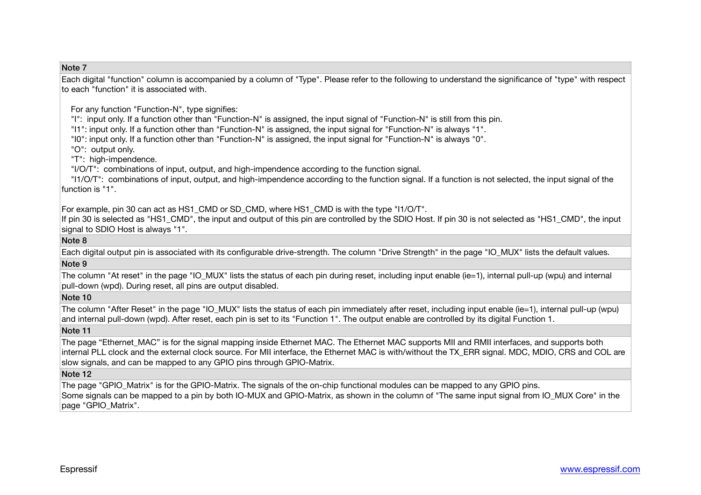#### Note 7

Each digital "function" column is accompanied by a column of "Type". Please refer to the following to understand the significance of "type" with respect to each "function" it is associated with.

For any function "Function-N", type signifies:

"I": input only. If a function other than "Function-N" is assigned, the input signal of "Function-N" is still from this pin.

"I1": input only. If a function other than "Function-N" is assigned, the input signal for "Function-N" is always "1".

"I0": input only. If a function other than "Function-N" is assigned, the input signal for "Function-N" is always "0".

"O": output only.

"T": high-impendence.

"I/O/T": combinations of input, output, and high-impendence according to the function signal.

 "I1/O/T": combinations of input, output, and high-impendence according to the function signal. If a function is not selected, the input signal of the function is "1"

For example, pin 30 can act as HS1 CMD or SD CMD, where HS1 CMD is with the type "I1/O/T".

If pin 30 is selected as "HS1\_CMD", the input and output of this pin are controlled by the SDIO Host. If pin 30 is not selected as "HS1\_CMD", the input signal to SDIO Host is always "1".

#### Note 8

Each digital output pin is associated with its configurable drive-strength. The column "Drive Strength" in the page "IO\_MUX" lists the default values.

#### Note 9

The column "At reset" in the page "IO MUX" lists the status of each pin during reset, including input enable (ie=1), internal pull-up (wpu) and internal pull-down (wpd). During reset, all pins are output disabled.

#### Note 10

The column "After Reset" in the page "IO\_MUX" lists the status of each pin immediately after reset, including input enable (ie=1), internal pull-up (wpu) and internal pull-down (wpd). After reset, each pin is set to its "Function 1". The output enable are controlled by its digital Function 1.

#### Note 11

The page "Ethernet MAC" is for the signal mapping inside Ethernet MAC. The Ethernet MAC supports MII and RMII interfaces, and supports both internal PLL clock and the external clock source. For MII interface, the Ethernet MAC is with/without the TX\_ERR signal. MDC, MDIO, CRS and COL are slow signals, and can be mapped to any GPIO pins through GPIO-Matrix.

#### Note 12

The page "GPIO Matrix" is for the GPIO-Matrix. The signals of the on-chip functional modules can be mapped to any GPIO pins. Some signals can be mapped to a pin by both IO-MUX and GPIO-Matrix, as shown in the column of "The same input signal from IO\_MUX Core" in the page "GPIO\_Matrix".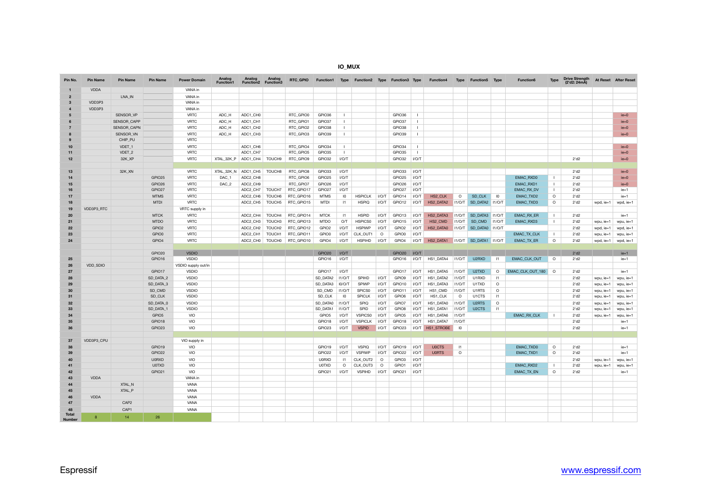#### **IO\_MUX**

| Pin No.                       | <b>Pin Name</b> | <b>Pin Name</b>    | <b>Pin Name</b>   | <b>Power Domain</b> | Analog<br><b>Function1</b> | Analog<br><b>Function2</b> | Analog<br>Function3 | RTC GPIO   | <b>Function1</b>  |                 | Type Function2 Type Function3 Type |         |                   |              | <b>Function4</b> | Type            | <b>Function5 Type</b>  |                 | <b>Function6</b>    | Type           | <b>Drive Strength</b><br>(2'd2: 24mA) |           | At Reset After Reset |
|-------------------------------|-----------------|--------------------|-------------------|---------------------|----------------------------|----------------------------|---------------------|------------|-------------------|-----------------|------------------------------------|---------|-------------------|--------------|------------------|-----------------|------------------------|-----------------|---------------------|----------------|---------------------------------------|-----------|----------------------|
|                               | <b>VDDA</b>     |                    |                   | VANA in             |                            |                            |                     |            |                   |                 |                                    |         |                   |              |                  |                 |                        |                 |                     |                |                                       |           |                      |
| $\overline{2}$                |                 | LNA IN             |                   | VANA in             |                            |                            |                     |            |                   |                 |                                    |         |                   |              |                  |                 |                        |                 |                     |                |                                       |           |                      |
| $\mathbf{3}$                  | VDD3P3          |                    |                   | VANA in             |                            |                            |                     |            |                   |                 |                                    |         |                   |              |                  |                 |                        |                 |                     |                |                                       |           |                      |
| $\mathbf{A}$                  | VDD3P3          |                    |                   | VANA in             |                            |                            |                     |            |                   |                 |                                    |         |                   |              |                  |                 |                        |                 |                     |                |                                       |           |                      |
| 5                             |                 | SENSOR_VP          |                   | <b>VRTC</b>         | ADC_H                      | ADC1_CH0                   |                     | RTC_GPIO0  | GPIO36            | - 1             |                                    |         | GPIO36            | $\mathbf{L}$ |                  |                 |                        |                 |                     |                |                                       |           | $ie = 0$             |
|                               |                 | <b>SENSOR CAPP</b> |                   | <b>VRTC</b>         | ADC H                      | ADC1_CH1                   |                     | RTC GPIO1  | GPIO37            | $\blacksquare$  |                                    |         | GPIO37            | $\mathbf{L}$ |                  |                 |                        |                 |                     |                |                                       |           | $ie=0$               |
| $\overline{7}$                |                 | SENSOR_CAPN        |                   | <b>VRTC</b>         | ADC_H                      | ADC1_CH2                   |                     | RTC_GPIO2  | GPIO38            | $\mathbf{I}$    |                                    |         | GPIO38            | $\mathbf{I}$ |                  |                 |                        |                 |                     |                |                                       |           | $ie = 0$             |
|                               |                 | SENSOR VN          |                   | <b>VRTC</b>         | ADC H                      | ADC1 CH3                   |                     | RTC_GPIO3  | GPIO39            | - 1             |                                    |         | GPIO39            | $\mathbf{L}$ |                  |                 |                        |                 |                     |                |                                       |           | $ie=0$               |
|                               |                 | CHIP_PU            |                   | <b>VRTC</b>         |                            |                            |                     |            |                   |                 |                                    |         |                   |              |                  |                 |                        |                 |                     |                |                                       |           |                      |
| 10                            |                 | VDET <sub>1</sub>  |                   | <b>VRTC</b>         |                            | ADC1 CH6                   |                     | RTC GPIO4  | GPIO34            | $\blacksquare$  |                                    |         | GPIO34            | $\mathbf{L}$ |                  |                 |                        |                 |                     |                |                                       |           | $ie=0$               |
| 11                            |                 | VDET <sub>2</sub>  |                   | <b>VRTC</b>         |                            | ADC1 CH7                   |                     | RTC GPIO5  | GPIO35            | - 1             |                                    |         | GPIO35            | $\mathbf{I}$ |                  |                 |                        |                 |                     |                |                                       |           | $ie = 0$             |
| 12                            |                 | 32K XP             |                   | <b>VRTC</b>         | XTAL 32K P ADC1 CH4        |                            | TOUCH9              | RTC GPIO9  | GPIO32            | I/O/T           |                                    |         | GPIO32            | $VO/T$       |                  |                 |                        |                 |                     |                | 2'd2                                  |           | $ie=0$               |
| 13                            |                 | 32K_XN             |                   | <b>VRTC</b>         | XTAL 32K N ADC1 CH5        |                            | TOUCH8              | RTC GPIO8  | GPIO33            | I/O/T           |                                    |         | GPIO33            | I/O/T        |                  |                 |                        |                 |                     |                | 2'd2                                  |           | $ie = 0$             |
| 14                            |                 |                    | GPIO25            | <b>VRTC</b>         | DAC_1                      | ADC2_CH8                   |                     | RTC_GPIO6  | GPIO25            | I/O/T           |                                    |         | GPIO25            | I/O/T        |                  |                 |                        |                 | <b>EMAC RXD0</b>    | $\mathbf{I}$   | 2'd2                                  |           | $ie = 0$             |
| 15                            |                 |                    | GPIO26            | <b>VRTC</b>         | DAC <sub>2</sub>           | ADC2_CH9                   |                     | RTC GPIO7  | GPIO26            | I/O/T           |                                    |         | GPIO26            | I/O/T        |                  |                 |                        |                 | <b>EMAC RXD1</b>    | $\mathbf{I}$   | 2'd2                                  |           | $ie=0$               |
| 16                            |                 |                    | GPIO27            | <b>VRTC</b>         |                            | ADC2_CH7                   | TOUCH7              | RTC_GPIO17 | GPIO27            | I/O/T           |                                    |         | GPIO27            | I/O/T        |                  |                 |                        |                 | EMAC_RX_DV          | $\mathbf{1}$   | 2'd2                                  |           | $ie=1$               |
| 17                            |                 |                    | <b>MTMS</b>       | <b>VRTC</b>         |                            | ADC2 CH6                   | TOUCH6              | RTC GPIO16 | <b>MTMS</b>       | $\overline{10}$ | <b>HSPICLK</b>                     | I/O/T   | GPIO14            | I/O/T        | HS2 CLK          | $\circ$         | SD CLK                 | $\overline{10}$ | EMAC TXD2           | $\circ$        | 2'd2                                  |           | $ie=1$               |
| 18                            |                 |                    | <b>MTDI</b>       | <b>VRTC</b>         |                            | ADC2 CH5                   | TOUCH5              | RTC_GPIO15 | <b>MTDI</b>       | 1               | <b>HSPIQ</b>                       | I/O/T   | GPIO12            | I/O/T        | HS2 DATA2        | I1/O/T          | SD DATA2 11/O/T        |                 | <b>EMAC TXD3</b>    | $\circ$        | 2'd2                                  | wpd, ie=1 | wpd, ie=1            |
| 19                            | VDD3P3 RTC      |                    |                   | VRTC supply in      |                            |                            |                     |            |                   |                 |                                    |         |                   |              |                  |                 |                        |                 |                     |                |                                       |           |                      |
| 20                            |                 |                    | <b>MTCK</b>       | <b>VRTC</b>         |                            | ADC2 CH4                   | TOUCH4              | RTC GPIO14 | <b>MTCK</b>       | 1               | <b>HSPID</b>                       | I/O/T   | GPIO13            | I/O/T        | HS2 DATA3        | I1/O/T          | SD DATA3 11/O/T        |                 | <b>EMAC RX ER</b>   | $\mathbf{I}$   | 2'd2                                  |           | $ie=1$               |
| 21                            |                 |                    | <b>MTDO</b>       | <b>VRTC</b>         |                            | ADC2 CH3                   | TOUCH3              | RTC GPIO13 | <b>MTDO</b>       | O/T             | HSPICS0                            | $VO/T$  | GPIO15            | $VO/T$       | HS2 CMD          | I1/O/T          | SD CMD                 | 11/OT           | <b>EMAC RXD3</b>    | $\mathbf{I}$   | 2'd2                                  | wpu, ie=1 | wpu, ie=1            |
| 22                            |                 |                    | GPIO <sub>2</sub> | <b>VRTC</b>         |                            | ADC2_CH2                   | TOUCH <sub>2</sub>  | RTC_GPIO12 | GPIO <sub>2</sub> | I/O/T           | <b>HSPIWP</b>                      | I/O/T   | GPIO <sub>2</sub> | I/O/T        | HS2_DATA0        |                 | I1/O/T SD_DATA0 I1/O/T |                 |                     |                | 2'd2                                  | wpd, ie=1 | wpd, ie=1            |
| 23                            |                 |                    | GPIO0             | VRTC                |                            | ADC2_CH1                   | TOUCH1              | RTC_GPIO11 | GPIO0             | I/O/T           | CLK OUT1                           | $\circ$ | GPIO0             | I/O/T        |                  |                 |                        |                 | <b>EMAC TX CLK</b>  | $\mathbf{I}$   | 2'd2                                  | wpu, ie=1 | wpu, ie=1            |
| 24                            |                 |                    | GPIO4             | VRTC                |                            | ADC2 CH0                   | <b>TOUCH0</b>       | RTC_GPIO10 | GPIO4             | I/O/T           | <b>HSPIHD</b>                      | I/O/T   | GPIO4             | I/O/T        | HS2 DATA1        |                 | 11/O/T SD DATA1 11/O/T |                 | <b>EMAC TX ER</b>   | $\circ$        | $2'$ d $2$                            | wpd, ie=1 | wpd, ie=1            |
|                               |                 |                    | GPIO20            | <b>VSDIO</b>        |                            |                            |                     |            | GPIO20            | I/O/T           |                                    |         | GPIO20            | I/O/T        |                  |                 |                        |                 |                     |                | 2'd2                                  |           | $ie=1$               |
| 25                            |                 |                    | GPIO16            | <b>VSDIO</b>        |                            |                            |                     |            | GPIO16            | I/O/T           |                                    |         | GPIO16            | <b>TON</b>   | HS1_DATA4        | I1/O/T          | U <sub>2</sub> RXD     | 1               | <b>EMAC CLK OUT</b> | $\circ$        | 2'd2                                  |           | $ie=1$               |
| 26                            | <b>VDD SDIO</b> |                    |                   | VSDIO supply out/in |                            |                            |                     |            |                   |                 |                                    |         |                   |              |                  |                 |                        |                 |                     |                |                                       |           |                      |
| 27                            |                 |                    | GPIO17            | <b>VSDIO</b>        |                            |                            |                     |            | GPIO17            | I/O/T           |                                    |         | GPIO17            | I/O/T        | HS1 DATA5        | I1/O/T          | U2TXD                  | $\circ$         | EMAC_CLK_OUT_180    | $\circ$        | 2'd2                                  |           | $ie=1$               |
| 28                            |                 |                    | SD_DATA_2         | <b>VSDIO</b>        |                            |                            |                     |            | SD DATA2          | 11/OT           | SPIHD                              | I/O/T   | GPIO9             | I/O/T        | HS1_DATA2        | I1/O/T          | U1RXD                  | $\vert 1 \vert$ |                     |                | 2'd2                                  | wpu, ie=1 | wpu, ie=1            |
| 29                            |                 |                    | SD DATA 3         | <b>VSDIO</b>        |                            |                            |                     |            | SD_DATA3          | 10/O/T          | SPIWP                              | I/O/T   | GPIO10            | I/O/T        | HS1 DATA3        | I1/O/T          | U1TXD                  | $\circ$         |                     |                | 2'd2                                  | wpu, ie=1 | wpu, ie=1            |
| 30                            |                 |                    | SD_CMD            | <b>VSDIO</b>        |                            |                            |                     |            | SD_CMD            | 11/OT           | SPICS0                             | I/O/T   | GPIO11            | I/O/T        | HS1_CMD          | 11/OT           | U1RTS                  | $\circ$         |                     |                | 2'd2                                  | wpu, ie=1 | wpu, ie=1            |
| 31                            |                 |                    | SD_CLK            | <b>VSDIO</b>        |                            |                            |                     |            | SD CLK            | $\overline{10}$ | <b>SPICLK</b>                      | I/O/T   | GPIO6             | I/O/T        | HS1_CLK          | $\circ$         | U1CTS                  | $\vert 1 \vert$ |                     |                | 2'd2                                  | wpu, ie=1 | wpu, ie=1            |
| 32                            |                 |                    | SD DATA 0         | <b>VSDIO</b>        |                            |                            |                     |            | SD DATA0          | I1/O/T          | SPIQ                               | I/O/T   | GPIO7             | I/O/T        | HS1_DATA0        | I1/O/T          | U <sub>2</sub> RTS     | $\circ$         |                     |                | $2'$ d $2$                            | wpu, ie=1 | wpu, ie=1            |
| 33                            |                 |                    | SD_DATA_1         | <b>VSDIO</b>        |                            |                            |                     |            | SD_DATA1          | 11/OT           | SPID                               | I/O/T   | GPIO8             | I/O/T        | HS1_DATA1        | I1/O/T          | U <sub>2</sub> CTS     | $\vert 1 \vert$ |                     |                | 2'd2                                  | wpu, ie=1 | wpu, ie=1            |
| 34                            |                 |                    | GPIO <sub>5</sub> | VIO                 |                            |                            |                     |            | GPIO <sub>5</sub> | I/O/T           | <b>VSPICS0</b>                     | $VO/T$  | GPIO <sub>5</sub> | VOT          | HS1 DATA6        | I1/O/T          |                        |                 | <b>EMAC RX CLK</b>  |                | 2'd2                                  | wpu, ie=1 | wpu, ie=1            |
| 35                            |                 |                    | GPIO18            | VIO                 |                            |                            |                     |            | GPIO18            | I/O/T           | <b>VSPICLK</b>                     | I/O/T   | GPIO18            | I/O/T        | HS1_DATA7        | I1/O/T          |                        |                 |                     |                | 2'd2                                  |           | $ie=1$               |
| 36                            |                 |                    | GPIO23            | VIO                 |                            |                            |                     |            | GPIO23            | I/O/T           | <b>VSPID</b>                       | I/O/T   | GPIO23            |              | I/O/T HS1 STROBE | $\overline{10}$ |                        |                 |                     |                | $2'$ d $2$                            |           | $ie=1$               |
| 37                            | VDD3P3_CPU      |                    |                   | VIO supply in       |                            |                            |                     |            |                   |                 |                                    |         |                   |              |                  |                 |                        |                 |                     |                |                                       |           |                      |
| 38                            |                 |                    | GPIO19            | VIO                 |                            |                            |                     |            | GPIO19            | I/O/T           | <b>VSPIQ</b>                       | I/O/T   | GPIO19            | I/O/T        | <b>U0CTS</b>     | $\vert$ 1       |                        |                 | EMAC_TXD0           | $\circ$        | 2'd2                                  |           | $ie=1$               |
| 39                            |                 |                    | GPIO22            | VIO                 |                            |                            |                     |            | GPIO22            | I/O/T           | <b>VSPIWP</b>                      | I/O/T   | GPIO22            | I/O/T        | <b>U0RTS</b>     | $\circ$         |                        |                 | EMAC_TXD1           | $\circ$        | 2'd2                                  |           | $ie=1$               |
| 40                            |                 |                    | <b>U0RXD</b>      | <b>VIO</b>          |                            |                            |                     |            | <b>U0RXD</b>      | 1               | CLK OUT2                           | $\circ$ | GPIO3             | I/O/T        |                  |                 |                        |                 |                     |                | 2'd2                                  | wpu, ie=1 | wpu, ie=1            |
| 41                            |                 |                    | <b>U0TXD</b>      | VIO                 |                            |                            |                     |            | <b>U0TXD</b>      | $\circ$         | CLK OUT3                           | $\circ$ | GPIO1             | I/O/T        |                  |                 |                        |                 | <b>EMAC RXD2</b>    | $\overline{1}$ | 2'd2                                  | wpu, ie=1 | wpu, ie=1            |
| 42                            |                 |                    | GPIO21            | <b>VIO</b>          |                            |                            |                     |            | GPIO21            | I/O/T           | <b>VSPIHD</b>                      | I/O/T   | GPIO21            | I/O/T        |                  |                 |                        |                 | <b>EMAC TX EN</b>   | $\circ$        | 2'd2                                  |           | $ie=1$               |
| 43                            | <b>VDDA</b>     |                    |                   | VANA in             |                            |                            |                     |            |                   |                 |                                    |         |                   |              |                  |                 |                        |                 |                     |                |                                       |           |                      |
| 44                            |                 | XTAL N             |                   | VANA                |                            |                            |                     |            |                   |                 |                                    |         |                   |              |                  |                 |                        |                 |                     |                |                                       |           |                      |
| 45                            |                 | XTAL P             |                   | VANA                |                            |                            |                     |            |                   |                 |                                    |         |                   |              |                  |                 |                        |                 |                     |                |                                       |           |                      |
| 46                            | <b>VDDA</b>     |                    |                   | VANA                |                            |                            |                     |            |                   |                 |                                    |         |                   |              |                  |                 |                        |                 |                     |                |                                       |           |                      |
| 47                            |                 | CAP <sub>2</sub>   |                   | VANA                |                            |                            |                     |            |                   |                 |                                    |         |                   |              |                  |                 |                        |                 |                     |                |                                       |           |                      |
| 48                            |                 | CAP1               |                   | VANA                |                            |                            |                     |            |                   |                 |                                    |         |                   |              |                  |                 |                        |                 |                     |                |                                       |           |                      |
| <b>Total</b><br><b>Number</b> | $\mathbf{R}$    | 14                 | 26                |                     |                            |                            |                     |            |                   |                 |                                    |         |                   |              |                  |                 |                        |                 |                     |                |                                       |           |                      |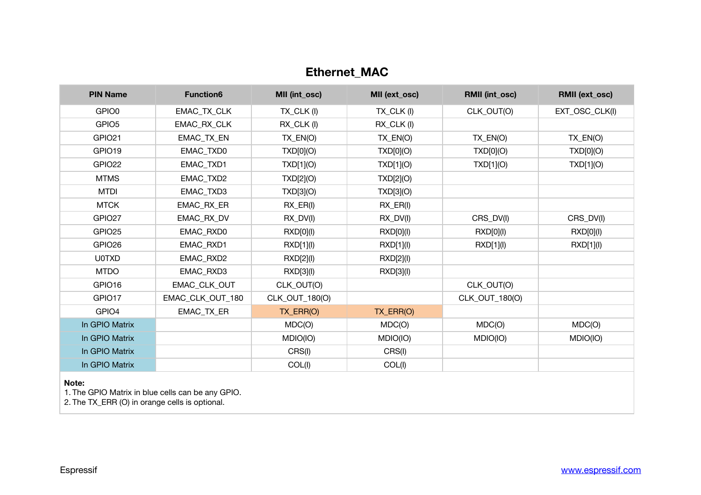# **Ethernet\_MAC**

| <b>PIN Name</b>    | <b>Function6</b>  | MII (int_osc)              | MII (ext_osc)              | <b>RMII (int_osc)</b> | <b>RMII (ext_osc)</b> |
|--------------------|-------------------|----------------------------|----------------------------|-----------------------|-----------------------|
| GPIO0              | EMAC_TX_CLK       | TX_CLK(I)                  | TX_CLK(I)                  | CLK_OUT(O)            | EXT_OSC_CLK(I)        |
| GPIO <sub>5</sub>  | EMAC_RX_CLK       | $RX$ <sub>_CLK</sub> $(I)$ | $RX$ <sub>_CLK</sub> $(1)$ |                       |                       |
| GPIO21             | <b>EMAC TX EN</b> | $TX$ $EN(O)$               | TX_EN(O)                   | $TX$ $EN(O)$          | $TX$ $EN(O)$          |
| GPIO19             | EMAC_TXD0         | TXD[0](O)                  | TXD[0](O)                  | TXD[0](O)             | TXD[0](O)             |
| GPIO22             | <b>EMAC TXD1</b>  | TXD[1](O)                  | TXD[1](O)                  | TXD[1](O)             | TXD[1](O)             |
| <b>MTMS</b>        | EMAC_TXD2         | TXD[2](O)                  | TXD[2](O)                  |                       |                       |
| <b>MTDI</b>        | EMAC_TXD3         | TXD[3](O)                  | TXD[3](O)                  |                       |                       |
| <b>MTCK</b>        | EMAC_RX_ER        | $RX$ $ER(1)$               | $RX$ $ER(1)$               |                       |                       |
| GPIO <sub>27</sub> | EMAC_RX_DV        | $RX_DV(I)$                 | $RX_DV(I)$                 | CRS_DV(I)             | CRS_DV(I)             |
| GPIO <sub>25</sub> | <b>EMAC RXD0</b>  | RXD[0](l)                  | RXD[0](l)                  | RXD[0](l)             | RXD[0](l)             |
| GPIO <sub>26</sub> | EMAC_RXD1         | RXD[1](I)                  | RXD[1](I)                  | RXD[1](I)             | RXD[1](I)             |
| <b>U0TXD</b>       | EMAC_RXD2         | RXD[2](I)                  | RXD[2](I)                  |                       |                       |
| <b>MTDO</b>        | EMAC_RXD3         | RXD[3](I)                  | RXD[3](I)                  |                       |                       |
| GPIO16             | EMAC_CLK_OUT      | CLK_OUT(O)                 |                            | CLK_OUT(O)            |                       |
| GPIO17             | EMAC_CLK_OUT_180  | CLK_OUT_180(O)             |                            | CLK_OUT_180(O)        |                       |
| GPIO4              | EMAC_TX_ER        | TX_ERR(O)                  | TX_ERR(O)                  |                       |                       |
| In GPIO Matrix     |                   | MDC(O)                     | MDC(O)                     | MDC(O)                | MDC(O)                |
| In GPIO Matrix     |                   | MDIO(IO)                   | MDIO(IO)                   | MDIO(IO)              | MDIO(IO)              |
| In GPIO Matrix     |                   | CRS(I)                     | CRS(I)                     |                       |                       |
| In GPIO Matrix     |                   | COL(I)                     | COL(I)                     |                       |                       |

**Note:** 

1. The GPIO Matrix in blue cells can be any GPIO.

2. The TX\_ERR (O) in orange cells is optional.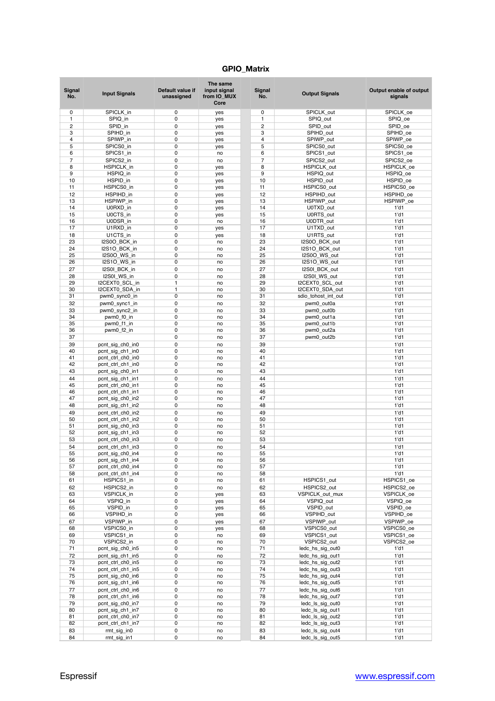# **GPIO\_Matrix**

| <b>Signal</b><br>No. | <b>Input Signals</b>                  | Default value if<br>unassigned | The same<br>input signal<br>from IO_MUX<br>Core | Signal<br>No.  | <b>Output Signals</b>     | Output enable of output<br>signals |
|----------------------|---------------------------------------|--------------------------------|-------------------------------------------------|----------------|---------------------------|------------------------------------|
| 0                    | SPICLK in                             | 0                              | yes                                             | 0              | SPICLK out                | SPICLK_oe                          |
| $\mathbf{1}$         | SPIQ_in                               | 0                              | yes                                             | $\mathbf{1}$   | SPIQ_out                  | SPIQ_oe                            |
| $\overline{c}$       | SPID in                               | 0                              | yes                                             | $\overline{c}$ | SPID out                  | SPID oe                            |
| 3                    | SPIHD in                              | 0                              | yes                                             | 3              | SPIHD out                 | SPIHD oe                           |
| $\overline{4}$       | SPIWP_in                              | 0                              | yes                                             | $\overline{4}$ | SPIWP_out                 | SPIWP_oe                           |
| 5                    | SPICS0_in                             | 0                              | yes                                             | 5              | SPICS0_out                | SPICS0_oe                          |
| 6                    | SPICS1_in                             | 0                              | no                                              | 6              | SPICS1_out                | SPICS1_oe                          |
| $\overline{7}$       | SPICS2 in                             | 0                              | no                                              | $\overline{7}$ | SPICS2 out                | SPICS2 oe                          |
| 8                    | HSPICLK_in                            | 0                              | yes                                             | 8              | HSPICLK_out               | HSPICLK_oe                         |
| 9                    | HSPIQ_in                              | 0                              | yes                                             | 9              | HSPIQ_out                 | HSPIQ_oe                           |
| 10                   | HSPID_in                              | 0                              | yes                                             | 10             | HSPID_out                 | HSPID_oe                           |
| 11                   | HSPICS0 in                            | 0                              | yes                                             | 11             | HSPICS0_out               | HSPICS0_oe                         |
| 12                   | HSPIHD_in                             | 0                              | yes                                             | 12             | HSPIHD_out                | HSPIHD oe                          |
| 13                   | HSPIWP in                             | 0                              | yes                                             | 13             | HSPIWP_out                | HSPIWP_oe                          |
| 14<br>15             | U0RXD in                              | 0<br>0                         | yes                                             | 14<br>15       | U0TXD out                 | $1'$ d1<br>$1'$ d1                 |
| 16                   | U0CTS_in<br>U0DSR_in                  | 0                              | yes<br>no                                       | 16             | U0RTS_out<br>U0DTR_out    | $1'$ d1                            |
| 17                   | U1RXD_in                              | 0                              | yes                                             | 17             | U1TXD_out                 | $1'$ d1                            |
| 18                   | U1CTS in                              | 0                              | yes                                             | 18             | U1RTS out                 | $1'$ d1                            |
| 23                   | I2S0O_BCK_in                          | 0                              | no                                              | 23             | I2S0O BCK out             | $1'$ d1                            |
| 24                   | I2S1O_BCK_in                          | 0                              | no                                              | 24             | I2S1O BCK out             | $1'$ d1                            |
| 25                   | I2S0O WS in                           | 0                              | no                                              | 25             | I2S0O_WS_out              | $1'$ d1                            |
| 26                   | I2S1O_WS_in                           | 0                              | no                                              | 26             | I2S1O_WS_out              | $1'$ d1                            |
| 27                   | I2S0I_BCK_in                          | 0                              | no                                              | 27             | I2S0I_BCK_out             | $1'$ d1                            |
| 28                   | I2S0I WS in                           | 0                              | no                                              | 28             | I2S0I_WS_out              | $1'$ d $1$                         |
| 29                   | I2CEXT0_SCL_in                        | 1                              | no                                              | 29             | I2CEXT0_SCL_out           | $1'$ d1                            |
| 30                   | I2CEXT0_SDA_in                        | 1                              | no                                              | 30             | I2CEXT0 SDA out           | $1'$ d1                            |
| 31                   | pwm0_sync0_in                         | 0                              | no                                              | 31             | sdio_tohost_int_out       | $1'$ d1                            |
| 32                   | pwm0_sync1_in                         | 0                              | no                                              | 32             | pwm0_out0a                | $1'$ d $1$                         |
| 33                   | pwm0_sync2_in                         | 0                              | no                                              | 33             | pwm0_out0b                | $1'$ d1                            |
| 34                   | pwm0_f0_in                            | 0                              | no                                              | 34             | pwm0_out1a                | $1'$ d1                            |
| 35                   | pwm0_f1_in                            | 0                              | no                                              | 35             | pwm0_out1b                | $1'$ d $1$                         |
| 36                   | pwm0_f2_in                            | 0                              | no                                              | 36             | pwm0_out2a                | $1'$ d1                            |
| 37                   |                                       | 0                              | no                                              | 37             | pwm0_out2b                | $1'$ d1                            |
| 39                   | pcnt_sig_ch0_in0                      | 0                              | no                                              | 39             |                           | $1'$ d1                            |
| 40                   | pcnt_sig_ch1_in0                      | 0<br>0                         | no                                              | 40             |                           | $1'$ d1                            |
| 41<br>42             | pcnt_ctrl_ch0_in0                     | 0                              | no                                              | 41<br>42       |                           | $1'$ d1<br>$1'$ d1                 |
| 43                   | pcnt_ctrl_ch1_in0<br>pcnt_sig_ch0_in1 | 0                              | no<br>no                                        | 43             |                           | $1'$ d1                            |
| 44                   | pcnt_sig_ch1_in1                      | 0                              | no                                              | 44             |                           | $1'$ d $1$                         |
| 45                   | pcnt_ctrl_ch0_in1                     | 0                              | no                                              | 45             |                           | $1'$ d1                            |
| 46                   | pcnt_ctrl_ch1_in1                     | 0                              | no                                              | 46             |                           | $1'$ d1                            |
| 47                   | pcnt_sig_ch0_in2                      | 0                              | no                                              | 47             |                           | $1'$ d1                            |
| 48                   | pcnt_sig_ch1_in2                      | 0                              | no                                              | 48             |                           | $1'$ d1                            |
| 49                   | pcnt_ctrl_ch0_in2                     | 0                              | no                                              | 49             |                           | $1'$ d1                            |
| 50                   | pcnt_ctrl_ch1_in2                     | 0                              | no                                              | 50             |                           | $1'$ d1                            |
| 51                   | pcnt sig ch0 in3                      | 0                              | no                                              | 51             |                           | $1'$ d $1$                         |
| 52                   | pcnt_sig_ch1_in3                      | 0                              | no                                              | 52             |                           | $1'$ d1                            |
| 53                   | pcnt_ctrl_ch0_in3                     | 0                              | no                                              | 53             |                           | $1'$ d1                            |
| 54                   | pcnt_ctrl_ch1_in3                     | 0                              | no                                              | 54             |                           | $1'$ d1                            |
| 55                   | pcnt_sig_ch0_in4                      | 0                              | no                                              | 55             |                           | 1'd1                               |
| 56                   | pcnt_sig_ch1_in4                      | 0                              | no                                              | 56             |                           | $1'$ d1                            |
| 57                   | pcnt_ctrl_ch0_in4                     | 0                              | no                                              | 57             |                           | $1'$ d1                            |
| 58                   | pcnt ctrl ch1 in4                     | 0                              | no                                              | 58             |                           | $1'$ d1                            |
| 61                   | HSPICS1_in                            | 0                              | no                                              | 61             | HSPICS1_out               | HSPICS1_oe                         |
| 62                   | HSPICS2_in                            | 0                              | no                                              | 62             | HSPICS2_out               | HSPICS2 oe                         |
| 63                   | VSPICLK_in                            | 0                              | yes                                             | 63             | VSPICLK_out_mux           | VSPICLK_oe                         |
| 64                   | VSPIQ_in                              | 0                              | yes                                             | 64             | VSPIQ_out                 | VSPIQ_oe                           |
| 65<br>66             | VSPID_in<br>VSPIHD in                 | 0<br>0                         | yes<br>yes                                      | 65<br>66       | VSPID_out<br>VSPIHD_out   | VSPID_oe<br>VSPIHD_oe              |
| 67                   |                                       | 0                              |                                                 | 67             |                           |                                    |
| 68                   | VSPIWP_in<br>VSPICS0_in               | 0                              | yes                                             | 68             | VSPIWP_out<br>VSPICS0_out | VSPIWP_oe<br>VSPICS0_oe            |
| 69                   | VSPICS1_in                            | 0                              | yes<br>no                                       | 69             | VSPICS1 out               | VSPICS1 oe                         |
| 70                   | VSPICS2_in                            | 0                              | no                                              | 70             | VSPICS2_out               | VSPICS2_oe                         |
| 71                   | pcnt_sig_ch0_in5                      | 0                              | no                                              | 71             | ledc_hs_sig_out0          | $1'$ d1                            |
| 72                   | pcnt sig ch1 in5                      | 0                              | no                                              | 72             | ledc_hs_sig_out1          | $1'$ d1                            |
| 73                   | pcnt ctrl ch0 in5                     | 0                              | no                                              | 73             | ledc_hs_sig_out2          | $1'$ d $1$                         |
| 74                   | pcnt_ctrl_ch1_in5                     | 0                              | no                                              | 74             | ledc_hs_sig_out3          | $1'$ d1                            |
| 75                   | pcnt_sig_ch0_in6                      | 0                              | no                                              | 75             | ledc_hs_sig_out4          | $1'$ d $1$                         |
| 76                   | pcnt_sig_ch1_in6                      | 0                              | no                                              | 76             | ledc_hs_sig_out5          | $1'$ d1                            |
| 77                   | pcnt_ctrl_ch0_in6                     | 0                              | no                                              | 77             | ledc_hs_sig_out6          | $1'$ d1                            |
| 78                   | pcnt_ctrl_ch1_in6                     | 0                              | no                                              | 78             | ledc_hs_sig_out7          | $1'$ d1                            |
| 79                   | pcnt_sig_ch0_in7                      | 0                              | no                                              | 79             | ledc_ls_sig_out0          | $1'$ d1                            |
| 80                   | pcnt_sig_ch1_in7                      | 0                              | no                                              | 80             | ledc_ls_sig_out1          | $1'$ d1                            |
| 81                   | pcnt_ctrl_ch0_in7                     | 0                              | no                                              | 81             | ledc_ls_sig_out2          | $1'$ d $1$                         |
| 82                   | pcnt_ctrl_ch1_in7                     | 0                              | no                                              | 82             | ledc_ls_sig_out3          | $1'$ d1                            |
| 83                   | rmt_sig_in0                           | 0                              | no                                              | 83             | ledc_ls_sig_out4          | $1'$ d1                            |
| 84                   | rmt_sig_in1                           | 0                              | no                                              | 84             | ledc_ls_sig_out5          | $1'$ d1                            |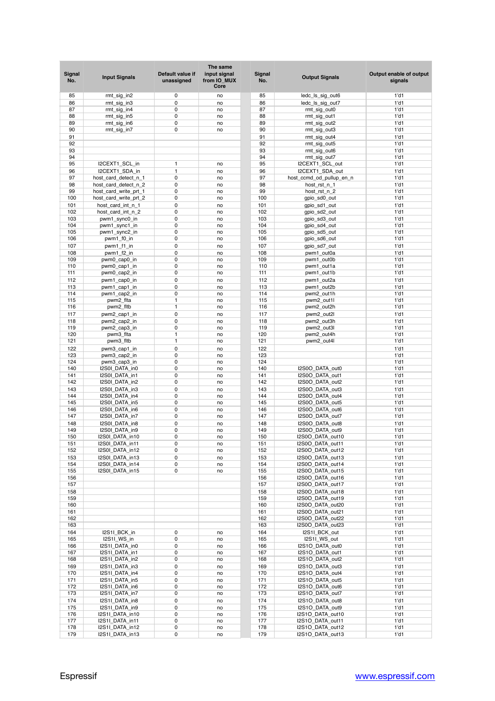| Signal<br>No. | <b>Input Signals</b>                           | Default value if<br>unassigned | The same<br>input signal<br>from IO MUX<br>Core | Signal<br>No. | <b>Output Signals</b>    | Output enable of output<br>signals |
|---------------|------------------------------------------------|--------------------------------|-------------------------------------------------|---------------|--------------------------|------------------------------------|
| 85            | rmt_sig_in2                                    | 0                              | no                                              | 85            | ledc_ls_sig_out6         | $1'$ d $1$                         |
| 86            | rmt_sig_in3                                    | 0                              | no                                              | 86            | ledc_ls_sig_out7         | $1'$ d1                            |
| 87            | rmt_sig_in4                                    | 0                              | no                                              | 87            | rmt_sig_out0             | $1'$ d1                            |
| 88            | rmt_sig_in5                                    | 0                              | no                                              | 88            | rmt_sig_out1             | $1'$ d1                            |
| 89            | rmt_sig_in6                                    | 0                              | no                                              | 89            | rmt_sig_out2             | $1'$ d1                            |
| 90            | rmt_sig_in7                                    | 0                              | no                                              | 90            | rmt_sig_out3             | $1'$ d1                            |
| 91            |                                                |                                |                                                 | 91            | rmt_sig_out4             | $1'$ d1                            |
| 92            |                                                |                                |                                                 | 92            | rmt_sig_out5             | $1'$ d1                            |
| 93            |                                                |                                |                                                 | 93            | rmt sig out6             | $1'$ d1                            |
| 94            |                                                |                                |                                                 | 94            | rmt_sig_out7             | $1'$ d1                            |
| 95            | I2CEXT1_SCL_in                                 | $\mathbf{1}$                   | no                                              | 95            | I2CEXT1_SCL_out          | $1'$ d1                            |
| 96            |                                                | $\mathbf{1}$                   |                                                 | 96            |                          | $1'$ d1                            |
| 97            | I2CEXT1_SDA_in<br>host card detect n 1         | 0                              | no                                              | 97            | I2CEXT1_SDA_out          | $1'$ d1                            |
| 98            |                                                | 0                              | no                                              | 98            | host_ccmd_od_pullup_en_n | $1'$ d1                            |
| 99            | host_card_detect_n_2                           | 0                              | no<br>no                                        | 99            | host_rst_n_1             | $1'$ d1                            |
| 100           | host_card_write_prt_1<br>host_card_write_prt_2 | 0                              | no                                              | 100           | host_rst_n_2             | $1'$ d1                            |
|               |                                                | 0                              |                                                 |               | gpio_sd0_out             |                                    |
| 101           | host_card_int_n_1                              | 0                              | no                                              | 101           | gpio_sd1_out             | $1'$ d1                            |
| 102           | host_card_int_n_2                              |                                | no                                              | 102           | gpio_sd2_out             | $1'$ d1                            |
| 103           | pwm1_sync0_in                                  | 0<br>0                         | no                                              | 103           | gpio_sd3_out             | $1'$ d1                            |
| 104           | pwm1_sync1_in                                  | 0                              | no                                              | 104           | gpio_sd4_out             | $1'$ d1                            |
| 105           | pwm1_sync2_in                                  | 0                              | no                                              | 105           | gpio_sd5_out             | $1'$ d1                            |
| 106           | pwm1_f0_in                                     |                                | no                                              | 106           | gpio_sd6_out             | $1'$ d1                            |
| 107           | pwm1_f1_in                                     | 0                              | no                                              | 107           | gpio_sd7_out             | $1'$ d1                            |
| 108           | pwm1_f2_in                                     | 0                              | no                                              | 108           | pwm1 out0a               | $1'$ d1                            |
| 109           | pwm0_cap0_in                                   | 0                              | no                                              | 109           | pwm1_out0b               | $1'$ d1                            |
| 110           | pwm0_cap1_in                                   | 0                              | no                                              | 110           | pwm1_out1a               | $1'$ d $1$                         |
| 111           | pwm0_cap2_in                                   | 0                              | no                                              | 111           | pwm1_out1b               | $1'$ d1                            |
| 112           | pwm1 cap0 in                                   | 0                              | no                                              | 112           | pwm1_out2a               | $1'$ d1                            |
| 113           | pwm1_cap1_in                                   | 0                              | no                                              | 113           | pwm1_out2b               | $1'$ d1                            |
| 114           | pwm1_cap2_in                                   | 0                              | no                                              | 114           | pwm2_out1h               | $1'$ d1                            |
| 115           | pwm2_fita                                      | 1                              | no                                              | 115           | pwm2_out1l               | $1'$ d1                            |
| 116           | pwm2_fltb                                      | $\mathbf{1}$                   | no                                              | 116           | pwm2_out2h               | $1'$ d1                            |
| 117           | pwm2_cap1_in                                   | 0                              | no                                              | 117           | pwm2_out2l               | $1'$ d1                            |
| 118           | pwm2_cap2_in                                   | 0                              | no                                              | 118           | pwm2_out3h               | $1'$ d1                            |
| 119           | pwm2_cap3_in                                   | 0                              | no                                              | 119           | pwm2_out3l               | $1'$ d1                            |
| 120           | pwm3_flta                                      | $\mathbf{1}$                   | no                                              | 120           | pwm2_out4h               | $1'$ d1                            |
| 121           | pwm3_fltb                                      | $\mathbf{1}$                   | no                                              | 121           | pwm2_out4l               | $1'$ d1                            |
| 122           | pwm3_cap1_in                                   | 0                              | no                                              | 122           |                          | $1'$ d1                            |
| 123           | pwm3_cap2_in                                   | 0                              | no                                              | 123           |                          | $1'$ d1                            |
| 124           | pwm3_cap3_in                                   | 0                              | no                                              | 124           |                          | $1'$ d1                            |
| 140           | I2S0I_DATA_in0                                 | 0                              | no                                              | 140           | I2S0O_DATA_out0          | $1'$ d1                            |
| 141           | I2S0I_DATA_in1                                 | 0                              | no                                              | 141           | I2S0O_DATA_out1          | $1'$ d1                            |
| 142           | I2S0I_DATA_in2                                 | 0                              | no                                              | 142           | I2S0O_DATA_out2          | $1'$ d1                            |
| 143           | I2S0I DATA in3                                 | 0                              | no                                              | 143           | I2S0O DATA out3          | $1'$ d1                            |
| 144           | I2S0I_DATA_in4                                 | 0                              | no                                              | 144           | I2S0O DATA out4          | $1'$ d1                            |
| 145           | I2S0I_DATA_in5                                 | 0                              | no                                              | 145           | I2S0O_DATA_out5          | $1'$ d1                            |
| 146           | I2S0I DATA in6                                 | 0                              | no                                              | 146           | I2S0O_DATA_out6          | $1'$ d1                            |
| 147           | I2S0I_DATA_in7                                 | 0                              | no                                              | 147           | I2S0O_DATA_out7          | $1'$ d1                            |
| 148           | I2S0I_DATA_in8                                 | 0                              | no                                              | 148           | I2S0O_DATA_out8          | $1'$ d1                            |
| 149           | I2S0I_DATA_in9                                 | 0                              | no                                              | 149           | I2S0O_DATA_out9          | $1'$ d1                            |
| 150           | I2S0I_DATA_in10                                | 0                              | no                                              | 150           | I2S0O_DATA_out10         | $1'$ d1                            |
| 151           | I2S0I_DATA_in11                                | 0                              | no                                              | 151           | I2S0O_DATA_out11         | $1'$ d1                            |
| 152           | I2S0I_DATA_in12                                | 0                              | no                                              | 152           | I2S0O_DATA_out12         | $1'$ d1                            |
| 153           | I2S0I DATA in13                                | 0                              | no                                              | 153           | I2S0O_DATA_out13         | $1'$ d1                            |
| 154           | I2S0I_DATA_in14                                | 0                              | no                                              | 154           | I2S0O DATA out14         | $1'$ d $1$                         |
| 155           | I2S0I_DATA_in15                                | 0                              | no                                              | 155           | I2S0O_DATA_out15         | $1'$ d1                            |
| 156           |                                                |                                |                                                 | 156           | I2S0O_DATA_out16         | $1'$ d1                            |
| 157           |                                                |                                |                                                 | 157           | I2S0O_DATA_out17         | $1'$ d $1$                         |
| 158           |                                                |                                |                                                 | 158           | I2S0O_DATA_out18         | $1'$ d1                            |
| 159           |                                                |                                |                                                 | 159           | I2S0O_DATA_out19         | $1'$ d1                            |
| 160           |                                                |                                |                                                 | 160           | I2S0O DATA out20         | $1'$ d1                            |
| 161           |                                                |                                |                                                 | 161           | I2S0O_DATA_out21         | $1'$ d1                            |
| 162           |                                                |                                |                                                 | 162           | I2S0O_DATA_out22         | $1'$ d1                            |
| 163           |                                                |                                |                                                 | 163           | I2S0O_DATA_out23         | $1'$ d1                            |
| 164           | I2S1I_BCK_in                                   | 0                              | no                                              | 164           | I2S1I_BCK_out            | $1'$ d1                            |
| 165           | I2S1I_WS_in                                    | 0                              | no                                              | 165           | I2S1I_WS_out             | $1'$ d $1$                         |
| 166           | I2S1I_DATA_in0                                 | 0                              | no                                              | 166           | I2S1O_DATA_out0          | $1'$ d1                            |
| 167           | I2S1I_DATA_in1                                 | 0                              | no                                              | 167           | I2S1O_DATA_out1          | $1'$ d1                            |
| 168           | I2S1I_DATA_in2                                 | 0                              | no                                              | 168           | I2S1O_DATA_out2          | $1'$ d1                            |
| 169           | I2S1I_DATA_in3                                 | 0                              | no                                              | 169           | I2S1O_DATA_out3          | $1'$ d1                            |
| 170           | I2S1I_DATA_in4                                 | 0                              | no                                              | 170           | I2S1O_DATA_out4          | $1'$ d1                            |
| 171           | I2S1I_DATA_in5                                 | 0                              | no                                              | 171           | I2S1O_DATA_out5          | $1'$ d $1$                         |
| 172           | I2S1I_DATA_in6                                 | 0                              | no                                              | 172           | I2S1O_DATA_out6          | $1'$ d1                            |
| 173           | I2S1I_DATA_in7                                 | 0                              | no                                              | 173           | I2S1O_DATA_out7          | $1'$ d1                            |
| 174           | I2S1I_DATA_in8                                 | 0                              | no                                              | 174           | I2S1O_DATA_out8          | $1'$ d1                            |
| 175           | I2S1I_DATA_in9                                 | 0                              | no                                              | 175           | I2S1O DATA out9          | $1'$ d $1$                         |
| 176           | I2S1I_DATA_in10                                | 0                              | no                                              | 176           | I2S1O_DATA_out10         | $1'$ d $1$                         |
| 177           | I2S1I_DATA_in11                                | 0                              | no                                              | 177           | I2S1O_DATA_out11         | $1'$ d1                            |
| 178           | I2S1I_DATA_in12                                | 0                              | no                                              | 178           | I2S1O_DATA_out12         | $1'$ d1                            |
| 179           | I2S1I_DATA_in13                                | 0                              | no                                              | 179           | I2S1O_DATA_out13         | $1'$ d $1$                         |
|               |                                                |                                |                                                 |               |                          |                                    |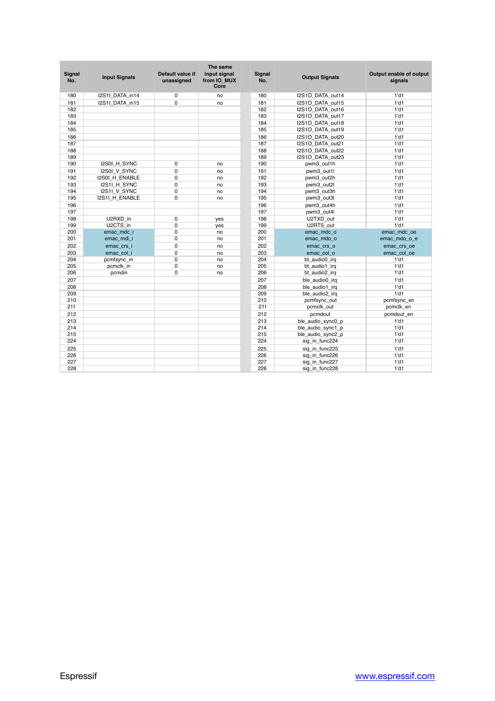| <b>Signal</b><br>No. | <b>Input Signals</b> | Default value if<br>unassigned | The same<br>input signal<br>from IO MUX<br>Core | Signal<br>No. | <b>Output Signals</b> | Output enable of output<br>signals |
|----------------------|----------------------|--------------------------------|-------------------------------------------------|---------------|-----------------------|------------------------------------|
| 180                  | I2S1I_DATA_in14      | 0                              | no                                              | 180           | I2S1O_DATA_out14      | $1'$ d $1$                         |
| 181                  | I2S1I DATA in15      | $\Omega$                       | no                                              | 181           | I2S1O DATA out15      | $1'$ d1                            |
| 182                  |                      |                                |                                                 | 182           | I2S1O DATA out16      | $1'$ d $1$                         |
| 183                  |                      |                                |                                                 | 183           | I2S1O DATA out17      | $1'$ d1                            |
| 184                  |                      |                                |                                                 | 184           | I2S1O DATA out18      | $1'$ d1                            |
| 185                  |                      |                                |                                                 | 185           | I2S1O DATA out19      | $1'$ d1                            |
| 186                  |                      |                                |                                                 | 186           | I2S1O_DATA_out20      | $1'$ d $1$                         |
| 187                  |                      |                                |                                                 | 187           | I2S1O DATA out21      | $1'$ d1                            |
| 188                  |                      |                                |                                                 | 188           | I2S1O DATA out22      | $1'$ d1                            |
| 189                  |                      |                                |                                                 | 189           | I2S1O DATA out23      | $1'$ d1                            |
| 190                  | I2S0I_H_SYNC         | 0                              | no                                              | 190           | pwm3_out1h            | $1'$ d $1$                         |
| 191                  | I2S0I V SYNC         | $\Omega$                       | no                                              | 191           | pwm3 out1l            | $1'$ d1                            |
| 192                  | I2S0I_H_ENABLE       | 0                              | no                                              | 192           | pwm3 out2h            | $1'$ d1                            |
| 193                  | I2S1I H SYNC         | $\mathbf 0$                    | no                                              | 193           | pwm3 out2l            | $1'$ d1                            |
| 194                  | I2S1I_V_SYNC         | $\mathbf 0$                    | no                                              | 194           | pwm3_out3h            | $1'$ d1                            |
| 195                  | I2S1I_H_ENABLE       | $\Omega$                       | no                                              | 195           | pwm3_out3l            | $1'$ d1                            |
| 196                  |                      |                                |                                                 | 196           | pwm3 out4h            | $1'$ d $1$                         |
| 197                  |                      |                                |                                                 | 197           | pwm3_out4l            | $1'$ d1                            |
| 198                  | U2RXD in             | 0                              | yes                                             | 198           | U2TXD out             | $1'$ d1                            |
| 199                  | U2CTS_in             | 0                              | yes                                             | 199           | U2RTS_out             | $1'$ d $1$                         |
| 200                  | emac mdc i           | $\mathbf 0$                    | no                                              | 200           | emac mdc o            | emac_mdc_oe                        |
| 201                  | emac_mdi_i           | $\Omega$                       | no                                              | 201           | emac_mdo_o            | emac_mdo_o_e                       |
| 202                  | emac crs i           | 0                              | no                                              | 202           | emac_crs_o            | emac_crs_oe                        |
| 203                  | emac col i           | $\mathbf 0$                    | no                                              | 203           | emac_col_o            | emac_col_oe                        |
| 204                  | pcmfsync_in          | $\mathbf 0$                    | no                                              | 204           | bt audio0 irg         | $1'$ d $1$                         |
| 205                  | pcmclk in            | 0                              | no                                              | 205           | bt_audio1_irq         | $1'$ d1                            |
| 206                  | pcmdin               | $\mathbf 0$                    | no                                              | 206           | bt audio2 irg         | $1'$ d1                            |
| 207                  |                      |                                |                                                 | 207           | ble audio0 irg        | $1'$ d1                            |
| 208                  |                      |                                |                                                 | 208           | ble audio1 irg        | $1'$ d1                            |
| 209                  |                      |                                |                                                 | 209           | ble_audio2_irq        | $1'$ d1                            |
| 210                  |                      |                                |                                                 | 210           | pcmfsync_out          | pcmfsync_en                        |
| 211                  |                      |                                |                                                 | 211           | pcmclk_out            | pcmclk_en                          |
| 212                  |                      |                                |                                                 | 212           | pcmdout               | pcmdout en                         |
| 213                  |                      |                                |                                                 | 213           | ble audio sync0 p     | $1'$ d $1$                         |
| 214                  |                      |                                |                                                 | 214           | ble audio sync1 p     | $1'$ d1                            |
| 215                  |                      |                                |                                                 | 215           | ble audio sync2 p     | $1'$ d1                            |
| 224                  |                      |                                |                                                 | 224           | sig_in_func224        | $1'$ d $1$                         |
| 225                  |                      |                                |                                                 | 225           | sig_in_func225        | $1'$ d1                            |
| 226                  |                      |                                |                                                 | 226           | sig in func226        | $1'$ d1                            |
| 227                  |                      |                                |                                                 | 227           | sig_in_func227        | $1'$ d1                            |
| 228                  |                      |                                |                                                 | 228           | sig_in_func228        | $1'$ d1                            |